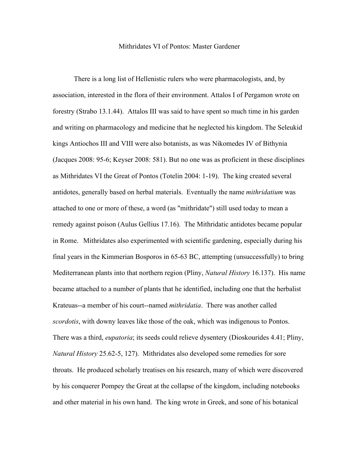## Mithridates VI of Pontos: Master Gardener

There is a long list of Hellenistic rulers who were pharmacologists, and, by association, interested in the flora of their environment. Attalos I of Pergamon wrote on forestry (Strabo 13.1.44). Attalos III was said to have spent so much time in his garden and writing on pharmacology and medicine that he neglected his kingdom. The Seleukid kings Antiochos III and VIII were also botanists, as was Nikomedes IV of Bithynia (Jacques 2008: 95-6; Keyser 2008: 581). But no one was as proficient in these disciplines as Mithridates VI the Great of Pontos (Totelin 2004: 1-19). The king created several antidotes, generally based on herbal materials. Eventually the name *mithridatium* was attached to one or more of these, a word (as "mithridate") still used today to mean a remedy against poison (Aulus Gellius 17.16). The Mithridatic antidotes became popular in Rome. Mithridates also experimented with scientific gardening, especially during his final years in the Kimmerian Bosporos in 65-63 BC, attempting (unsuccessfully) to bring Mediterranean plants into that northern region (Pliny, *Natural History* 16.137). His name became attached to a number of plants that he identified, including one that the herbalist Krateuas--a member of his court--named *mithridatia*. There was another called *scordotis*, with downy leaves like those of the oak, which was indigenous to Pontos. There was a third, *eupatoria*; its seeds could relieve dysentery (Dioskourides 4.41; Pliny, *Natural History* 25.62-5, 127). Mithridates also developed some remedies for sore throats. He produced scholarly treatises on his research, many of which were discovered by his conquerer Pompey the Great at the collapse of the kingdom, including notebooks and other material in his own hand. The king wrote in Greek, and sone of his botanical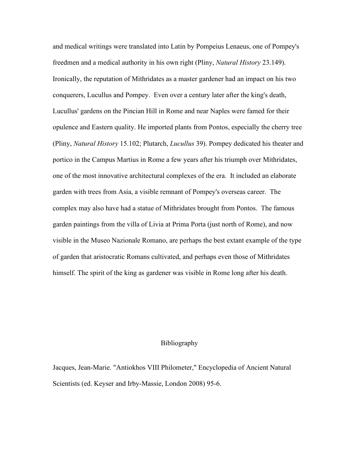and medical writings were translated into Latin by Pompeius Lenaeus, one of Pompey's freedmen and a medical authority in his own right (Pliny, *Natural History* 23.149). Ironically, the reputation of Mithridates as a master gardener had an impact on his two conquerers, Lucullus and Pompey. Even over a century later after the king's death, Lucullus' gardens on the Pincian Hill in Rome and near Naples were famed for their opulence and Eastern quality. He imported plants from Pontos, especially the cherry tree (Pliny, *Natural History* 15.102; Plutarch, *Lucullus* 39). Pompey dedicated his theater and portico in the Campus Martius in Rome a few years after his triumph over Mithridates, one of the most innovative architectural complexes of the era. It included an elaborate garden with trees from Asia, a visible remnant of Pompey's overseas career. The complex may also have had a statue of Mithridates brought from Pontos. The famous garden paintings from the villa of Livia at Prima Porta (just north of Rome), and now visible in the Museo Nazionale Romano, are perhaps the best extant example of the type of garden that aristocratic Romans cultivated, and perhaps even those of Mithridates himself. The spirit of the king as gardener was visible in Rome long after his death.

## Bibliography

Jacques, Jean-Marie. "Antiokhos VIII Philometer," Encyclopedia of Ancient Natural Scientists (ed. Keyser and Irby-Massie, London 2008) 95-6.